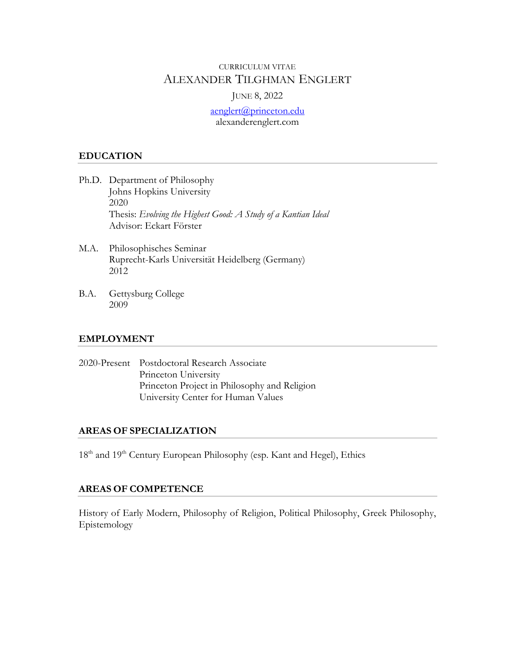## CURRICULUM VITAE ALEXANDER TILGHMAN ENGLERT

### JUNE 8, 2022

aenglert@princeton.edu alexanderenglert.com

### **EDUCATION**

- Ph.D. Department of Philosophy Johns Hopkins University 2020 Thesis: *Evolving the Highest Good: A Study of a Kantian Ideal* Advisor: Eckart Förster
- M.A. Philosophisches Seminar Ruprecht-Karls Universität Heidelberg (Germany) 2012
- B.A. Gettysburg College 2009

## **EMPLOYMENT**

| 2020-Present Postdoctoral Research Associate |
|----------------------------------------------|
| Princeton University                         |
| Princeton Project in Philosophy and Religion |
| University Center for Human Values           |

## **AREAS OF SPECIALIZATION**

18<sup>th</sup> and 19<sup>th</sup> Century European Philosophy (esp. Kant and Hegel), Ethics

## **AREAS OF COMPETENCE**

History of Early Modern, Philosophy of Religion, Political Philosophy, Greek Philosophy, Epistemology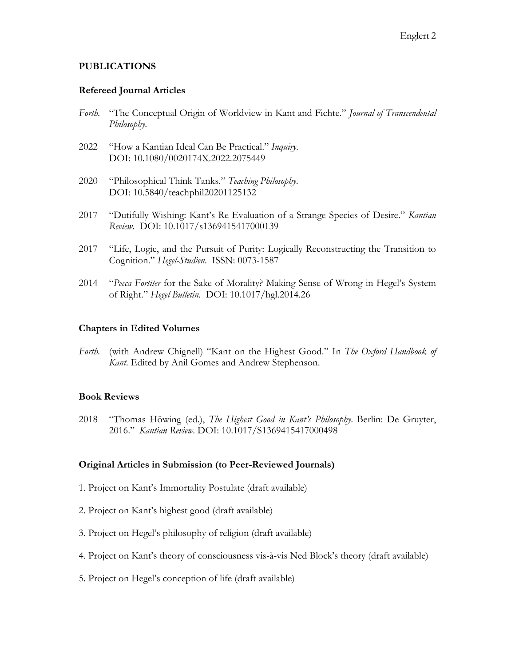### **PUBLICATIONS**

### **Refereed Journal Articles**

- *Forth.* "The Conceptual Origin of Worldview in Kant and Fichte." *Journal of Transcendental Philosophy*.
- 2022 "How a Kantian Ideal Can Be Practical." *Inquiry*. DOI: 10.1080/0020174X.2022.2075449
- 2020 "Philosophical Think Tanks." *Teaching Philosophy*. DOI: 10.5840/teachphil20201125132
- 2017 "Dutifully Wishing: Kant's Re-Evaluation of a Strange Species of Desire." *Kantian Review*. DOI: 10.1017/s1369415417000139
- 2017 "Life, Logic, and the Pursuit of Purity: Logically Reconstructing the Transition to Cognition." *Hegel-Studien*. ISSN: 0073-1587
- 2014 "*Pecca Fortiter* for the Sake of Morality? Making Sense of Wrong in Hegel's System of Right." *Hegel Bulletin*. DOI: 10.1017/hgl.2014.26

#### **Chapters in Edited Volumes**

*Forth.* (with Andrew Chignell) "Kant on the Highest Good." In *The Oxford Handbook of Kant*. Edited by Anil Gomes and Andrew Stephenson.

#### **Book Reviews**

2018 "Thomas Höwing (ed.), *The Highest Good in Kant's Philosophy*. Berlin: De Gruyter, 2016." *Kantian Review*. DOI: 10.1017/S1369415417000498

#### **Original Articles in Submission (to Peer-Reviewed Journals)**

- 1. Project on Kant's Immortality Postulate (draft available)
- 2. Project on Kant's highest good (draft available)
- 3. Project on Hegel's philosophy of religion (draft available)
- 4. Project on Kant's theory of consciousness vis-à-vis Ned Block's theory (draft available)
- 5. Project on Hegel's conception of life (draft available)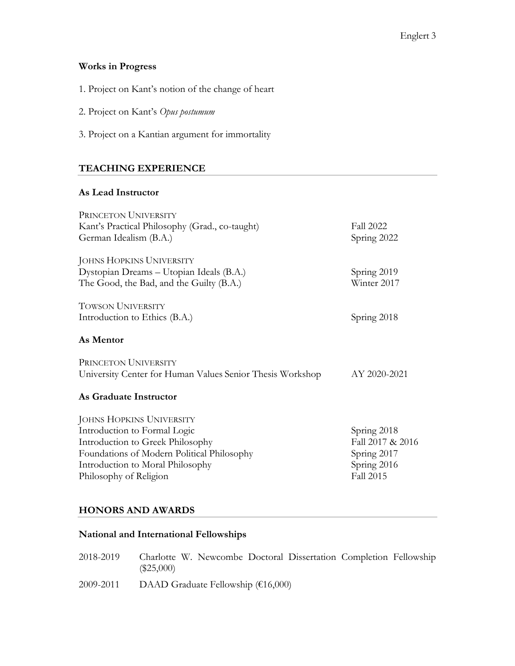## **Works in Progress**

- 1. Project on Kant's notion of the change of heart
- 2. Project on Kant's *Opus postumum*
- 3. Project on a Kantian argument for immortality

## **TEACHING EXPERIENCE**

## **As Lead Instructor**

| PRINCETON UNIVERSITY                                      |                  |
|-----------------------------------------------------------|------------------|
| Kant's Practical Philosophy (Grad., co-taught)            | <b>Fall 2022</b> |
| German Idealism (B.A.)                                    | Spring 2022      |
| <b>JOHNS HOPKINS UNIVERSITY</b>                           |                  |
| Dystopian Dreams - Utopian Ideals (B.A.)                  | Spring 2019      |
| The Good, the Bad, and the Guilty (B.A.)                  | Winter 2017      |
| TOWSON UNIVERSITY                                         |                  |
| Introduction to Ethics (B.A.)                             | Spring 2018      |
| As Mentor                                                 |                  |
| PRINCETON UNIVERSITY                                      |                  |
| University Center for Human Values Senior Thesis Workshop | AY 2020-2021     |
| As Graduate Instructor                                    |                  |
| JOHNS HOPKINS UNIVERSITY                                  |                  |
| Introduction to Formal Logic                              | Spring 2018      |
| Introduction to Greek Philosophy                          | Fall 2017 & 2016 |
| Foundations of Modern Political Philosophy                | Spring 2017      |
| Introduction to Moral Philosophy                          | Spring 2016      |
| Philosophy of Religion                                    | <b>Fall 2015</b> |
|                                                           |                  |

# **HONORS AND AWARDS**

## **National and International Fellowships**

| 2018-2019 | Charlotte W. Newcombe Doctoral Dissertation Completion Fellowship<br>$(\$25,000)$ |
|-----------|-----------------------------------------------------------------------------------|
| 2009-2011 | DAAD Graduate Fellowship ( $\epsilon$ 16,000)                                     |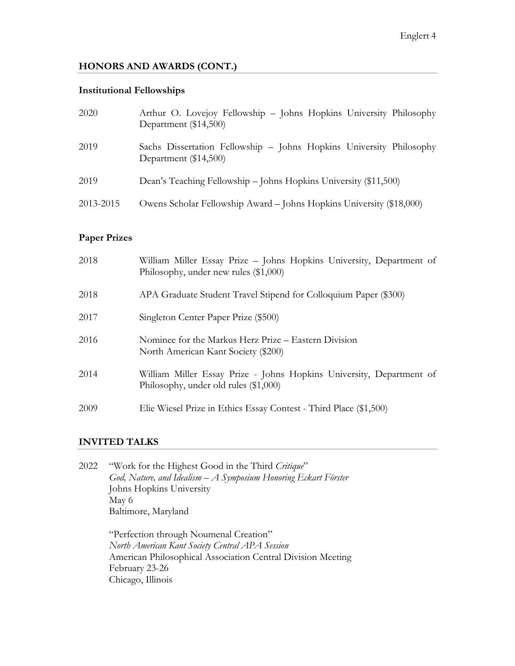# **HONORS AND AWARDS (CONT.)**

# **Institutional Fellowships**

| 2020      | Arthur O. Lovejoy Fellowship - Johns Hopkins University Philosophy<br>Department (\$14,500)  |
|-----------|----------------------------------------------------------------------------------------------|
| 2019      | Sachs Dissertation Fellowship - Johns Hopkins University Philosophy<br>Department (\$14,500) |
| 2019      | Dean's Teaching Fellowship – Johns Hopkins University (\$11,500)                             |
| 2013-2015 | Owens Scholar Fellowship Award – Johns Hopkins University (\$18,000)                         |

# **Paper Prizes**

| 2018 | William Miller Essay Prize - Johns Hopkins University, Department of<br>Philosophy, under new rules $(\$1,000)$ |
|------|-----------------------------------------------------------------------------------------------------------------|
| 2018 | APA Graduate Student Travel Stipend for Colloquium Paper (\$300)                                                |
| 2017 | Singleton Center Paper Prize (\$500)                                                                            |
| 2016 | Nominee for the Markus Herz Prize – Eastern Division<br>North American Kant Society (\$200)                     |
| 2014 | William Miller Essay Prize - Johns Hopkins University, Department of<br>Philosophy, under old rules (\$1,000)   |
| 2009 | Elie Wiesel Prize in Ethics Essay Contest - Third Place (\$1,500)                                               |

# **INVITED TALKS**

| 2022 | "Work for the Highest Good in the Third Critique"                |
|------|------------------------------------------------------------------|
|      | God, Nature, and Idealism $-A$ Symposium Honoring Eckart Förster |
|      | Johns Hopkins University                                         |
|      | May 6                                                            |
|      | Baltimore, Maryland                                              |
|      |                                                                  |
|      | "Perfection through Noumenal Creation"                           |
|      | North American Kant Society Central APA Session                  |
|      | American Philosophical Association Central Division Meeting      |
|      | February 23-26                                                   |
|      | Chicago, Illinois                                                |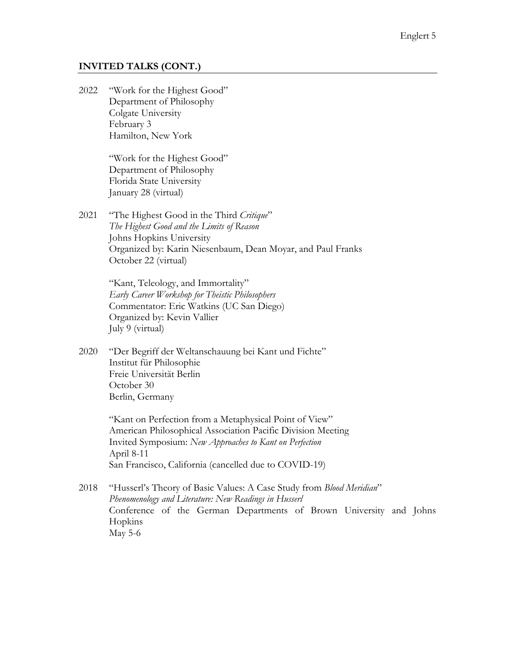### **INVITED TALKS (CONT.)**

2022 "Work for the Highest Good" Department of Philosophy Colgate University February 3 Hamilton, New York

> "Work for the Highest Good" Department of Philosophy Florida State University January 28 (virtual)

2021 "The Highest Good in the Third *Critique*" *The Highest Good and the Limits of Reason* Johns Hopkins University Organized by: Karin Niesenbaum, Dean Moyar, and Paul Franks October 22 (virtual)

> "Kant, Teleology, and Immortality" *Early Career Workshop for Theistic Philosophers* Commentator: Eric Watkins (UC San Diego) Organized by: Kevin Vallier July 9 (virtual)

2020 "Der Begriff der Weltanschauung bei Kant und Fichte" Institut für Philosophie Freie Universität Berlin October 30 Berlin, Germany

> "Kant on Perfection from a Metaphysical Point of View" American Philosophical Association Pacific Division Meeting Invited Symposium: *New Approaches to Kant on Perfection* April 8-11 San Francisco, California (cancelled due to COVID-19)

2018 "Husserl's Theory of Basic Values: A Case Study from *Blood Meridian*" *Phenomenology and Literature: New Readings in Husserl* Conference of the German Departments of Brown University and Johns Hopkins May 5-6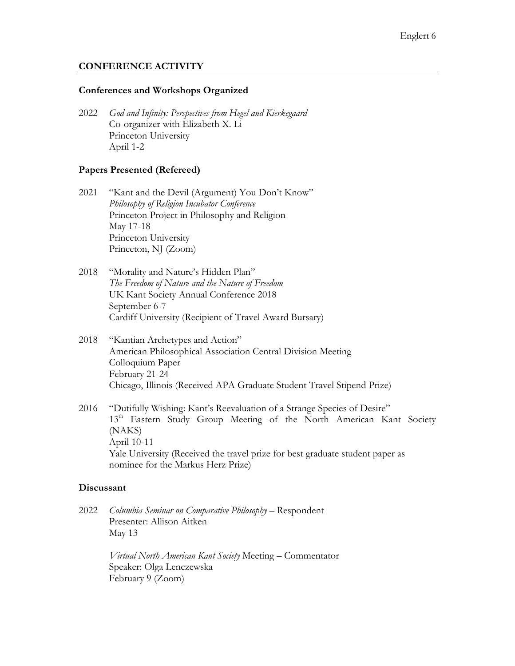### **CONFERENCE ACTIVITY**

### **Conferences and Workshops Organized**

2022 *God and Infinity: Perspectives from Hegel and Kierkegaard* Co-organizer with Elizabeth X. Li Princeton University April 1-2

### **Papers Presented (Refereed)**

- 2021 "Kant and the Devil (Argument) You Don't Know" *Philosophy of Religion Incubator Conference* Princeton Project in Philosophy and Religion May 17-18 Princeton University Princeton, NJ (Zoom)
- 2018 "Morality and Nature's Hidden Plan" *The Freedom of Nature and the Nature of Freedom* UK Kant Society Annual Conference 2018 September 6-7 Cardiff University (Recipient of Travel Award Bursary)
- 2018 "Kantian Archetypes and Action" American Philosophical Association Central Division Meeting Colloquium Paper February 21-24 Chicago, Illinois (Received APA Graduate Student Travel Stipend Prize)
- 2016 "Dutifully Wishing: Kant's Reevaluation of a Strange Species of Desire" 13<sup>th</sup> Eastern Study Group Meeting of the North American Kant Society (NAKS) April 10-11 Yale University (Received the travel prize for best graduate student paper as nominee for the Markus Herz Prize)

### **Discussant**

2022 *Columbia Seminar on Comparative Philosophy* – Respondent Presenter: Allison Aitken May 13

> *Virtual North American Kant Society* Meeting – Commentator Speaker: Olga Lenczewska February 9 (Zoom)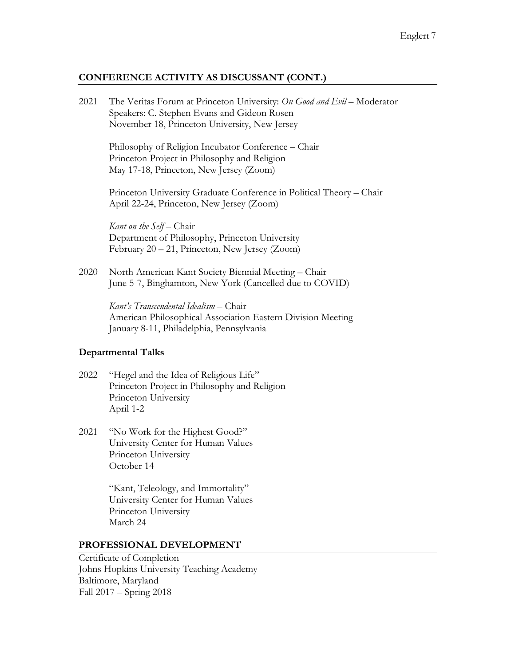### **CONFERENCE ACTIVITY AS DISCUSSANT (CONT.)**

2021 The Veritas Forum at Princeton University: *On Good and Evil –* Moderator Speakers: C. Stephen Evans and Gideon Rosen November 18, Princeton University, New Jersey

Philosophy of Religion Incubator Conference – Chair Princeton Project in Philosophy and Religion May 17-18, Princeton, New Jersey (Zoom)

Princeton University Graduate Conference in Political Theory – Chair April 22-24, Princeton, New Jersey (Zoom)

*Kant on the Self* – Chair Department of Philosophy, Princeton University February 20 – 21, Princeton, New Jersey (Zoom)

2020 North American Kant Society Biennial Meeting – Chair June 5-7, Binghamton, New York (Cancelled due to COVID)

> *Kant's Transcendental Idealism* – Chair American Philosophical Association Eastern Division Meeting January 8-11, Philadelphia, Pennsylvania

### **Departmental Talks**

- 2022 "Hegel and the Idea of Religious Life" Princeton Project in Philosophy and Religion Princeton University April 1-2
- 2021 "No Work for the Highest Good?" University Center for Human Values Princeton University October 14

"Kant, Teleology, and Immortality" University Center for Human Values Princeton University March 24

#### **PROFESSIONAL DEVELOPMENT**

Certificate of Completion Johns Hopkins University Teaching Academy Baltimore, Maryland Fall 2017 – Spring 2018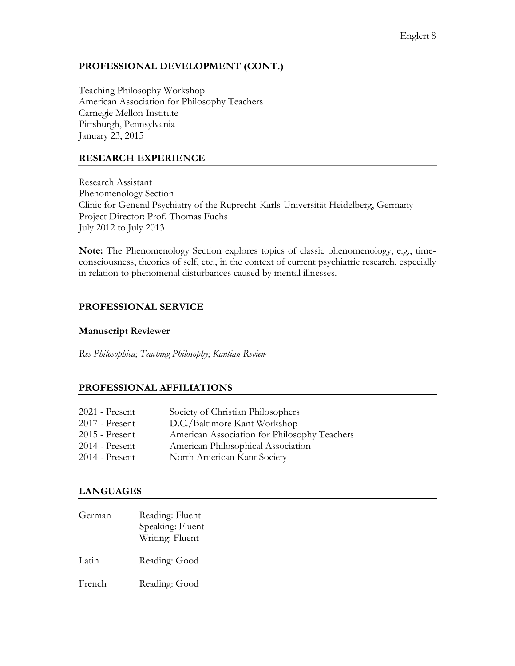## **PROFESSIONAL DEVELOPMENT (CONT.)**

Teaching Philosophy Workshop American Association for Philosophy Teachers Carnegie Mellon Institute Pittsburgh, Pennsylvania January 23, 2015

## **RESEARCH EXPERIENCE**

Research Assistant Phenomenology Section Clinic for General Psychiatry of the Ruprecht-Karls-Universität Heidelberg, Germany Project Director: Prof. Thomas Fuchs July 2012 to July 2013

**Note:** The Phenomenology Section explores topics of classic phenomenology, e.g., timeconsciousness, theories of self, etc., in the context of current psychiatric research, especially in relation to phenomenal disturbances caused by mental illnesses.

## **PROFESSIONAL SERVICE**

### **Manuscript Reviewer**

*Res Philosophica*; *Teaching Philosophy*; *Kantian Review*

### **PROFESSIONAL AFFILIATIONS**

| $2021$ - Present | Society of Christian Philosophers            |
|------------------|----------------------------------------------|
| $2017$ - Present | D.C./Baltimore Kant Workshop                 |
| $2015$ - Present | American Association for Philosophy Teachers |
| $2014$ - Present | American Philosophical Association           |
| $2014$ - Present | North American Kant Society                  |

### **LANGUAGES**

German Reading: Fluent Speaking: Fluent Writing: Fluent Latin Reading: Good French Reading: Good